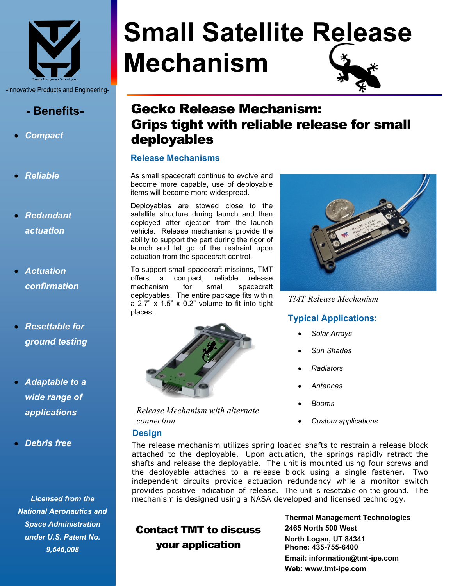

-Innovative Products and Engineering-

# **- Benefits-**

- *Compact*
- *Reliable*
- *Redundant actuation*
- *Actuation confirmation*
- *Resettable for ground testing*
- *Adaptable to a wide range of applications*
- *Debris free*

*Licensed from the National Aeronautics and Space Administration under U.S. Patent No. 9,546,008*

# **Small Satellite Release Mechanism**

# Gecko Release Mechanism: Grips tight with reliable release for small deployables

#### **Release Mechanisms**

As small spacecraft continue to evolve and become more capable, use of deployable items will become more widespread.

Deployables are stowed close to the satellite structure during launch and then deployed after ejection from the launch vehicle. Release mechanisms provide the ability to support the part during the rigor of launch and let go of the restraint upon actuation from the spacecraft control.

To support small spacecraft missions, TMT offers a compact, reliable release mechanism for small spacecraft deployables. The entire package fits within a 2.7" x 1.5" x 0.2" volume to fit into tight places.



*Release Mechanism with alternate connection*

#### **Design**



*TMT Release Mechanism*

#### **Typical Applications:**

- *Solar Arrays*
- *Sun Shades*
- *Radiators*
- *Antennas*
- *Booms*
- *Custom applications*

The release mechanism utilizes spring loaded shafts to restrain a release block attached to the deployable. Upon actuation, the springs rapidly retract the shafts and release the deployable. The unit is mounted using four screws and the deployable attaches to a release block using a single fastener. Two independent circuits provide actuation redundancy while a monitor switch provides positive indication of release. The unit is resettable on the ground. The mechanism is designed using a NASA developed and licensed technology.

# Contact TMT to discuss your application

**Thermal Management Technologies 2465 North 500 West North Logan, UT 84341 Phone: 435-755-6400 Email: information@tmt-ipe.com Web: www.tmt-ipe.com**